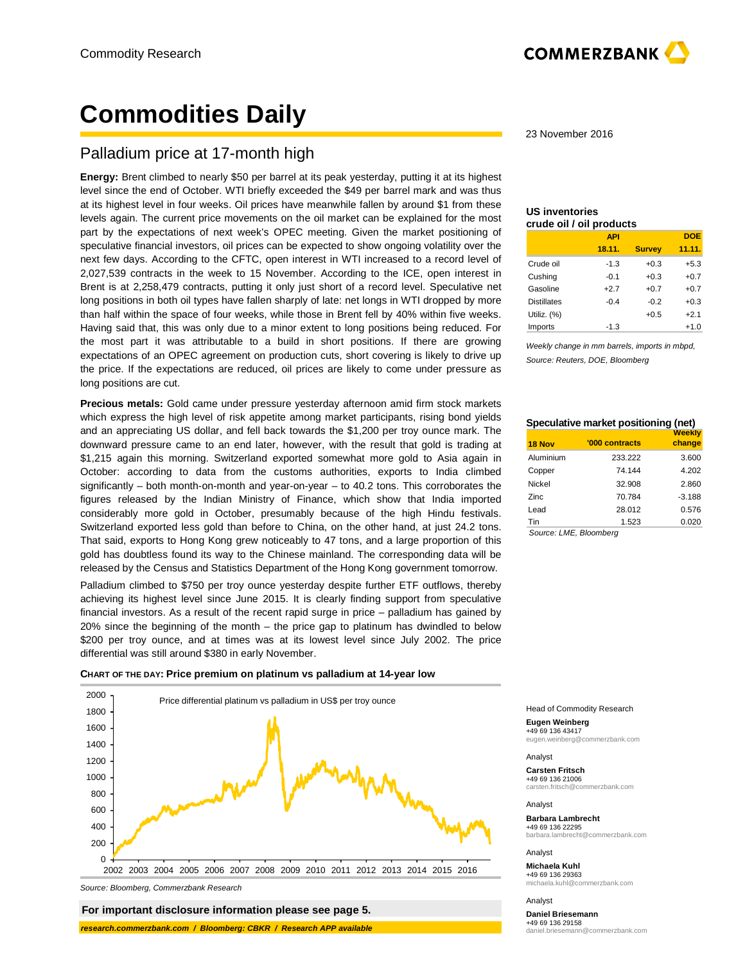# **Commodities Daily**

## Palladium price at 17-month high

**Energy:** Brent climbed to nearly \$50 per barrel at its peak yesterday, putting it at its highest level since the end of October. WTI briefly exceeded the \$49 per barrel mark and was thus at its highest level in four weeks. Oil prices have meanwhile fallen by around \$1 from these levels again. The current price movements on the oil market can be explained for the most part by the expectations of next week's OPEC meeting. Given the market positioning of speculative financial investors, oil prices can be expected to show ongoing volatility over the next few days. According to the CFTC, open interest in WTI increased to a record level of 2,027,539 contracts in the week to 15 November. According to the ICE, open interest in Brent is at 2,258,479 contracts, putting it only just short of a record level. Speculative net long positions in both oil types have fallen sharply of late: net longs in WTI dropped by more than half within the space of four weeks, while those in Brent fell by 40% within five weeks. Having said that, this was only due to a minor extent to long positions being reduced. For the most part it was attributable to a build in short positions. If there are growing expectations of an OPEC agreement on production cuts, short covering is likely to drive up the price. If the expectations are reduced, oil prices are likely to come under pressure as long positions are cut.

**Precious metals:** Gold came under pressure yesterday afternoon amid firm stock markets which express the high level of risk appetite among market participants, rising bond yields and an appreciating US dollar, and fell back towards the \$1,200 per troy ounce mark. The downward pressure came to an end later, however, with the result that gold is trading at \$1,215 again this morning. Switzerland exported somewhat more gold to Asia again in October: according to data from the customs authorities, exports to India climbed significantly – both month-on-month and year-on-year – to 40.2 tons. This corroborates the figures released by the Indian Ministry of Finance, which show that India imported considerably more gold in October, presumably because of the high Hindu festivals. Switzerland exported less gold than before to China, on the other hand, at just 24.2 tons. That said, exports to Hong Kong grew noticeably to 47 tons, and a large proportion of this gold has doubtless found its way to the Chinese mainland. The corresponding data will be released by the Census and Statistics Department of the Hong Kong government tomorrow.

Palladium climbed to \$750 per troy ounce yesterday despite further ETF outflows, thereby achieving its highest level since June 2015. It is clearly finding support from speculative financial investors. As a result of the recent rapid surge in price – palladium has gained by 20% since the beginning of the month – the price gap to platinum has dwindled to below \$200 per troy ounce, and at times was at its lowest level since July 2002. The price differential was still around \$380 in early November.

**CHART OF THE DAY: Price premium on platinum vs palladium at 14-year low** 



Source: Bloomberg, Commerzbank Research

 **For important disclosure information please see page 5.**

 **research.commerzbank.com / Bloomberg: CBKR / Research APP available**

23 November 2016

### **US inventories crude oil / oil products**

|                    | <b>API</b> |               | <b>DOE</b> |
|--------------------|------------|---------------|------------|
|                    | 18.11.     | <b>Survey</b> | 11.11.     |
| Crude oil          | -1.3       | $+0.3$        | $+5.3$     |
| Cushing            | $-0.1$     | $+0.3$        | $+0.7$     |
| Gasoline           | $+2.7$     | $+0.7$        | $+0.7$     |
| <b>Distillates</b> | $-0.4$     | $-0.2$        | $+0.3$     |
| Utiliz. (%)        |            | $+0.5$        | $+2.1$     |
| Imports            | $-1.3$     |               | $+1.0$     |

Weekly change in mm barrels, imports in mbpd, Source: Reuters, DOE, Bloomberg

### **Speculative market positioning (net) Weekly**

| 18 Nov    | '000 contracts | change   |
|-----------|----------------|----------|
| Aluminium | 233.222        | 3.600    |
| Copper    | 74.144         | 4.202    |
| Nickel    | 32.908         | 2.860    |
| Zinc      | 70.784         | $-3.188$ |
| Lead      | 28.012         | 0.576    |
| Tin       | 1.523          | 0.020    |

Source: LME, Bloomberg

Head of Commodity Research

**Eugen Weinberg**

+49 69 136 43417 eugen.weinberg@commerzbank.com

Analyst

**Carsten Fritsch** +49 69 136 21006 carsten.fritsch@commerzbank.com

Analyst

**Barbara Lambrecht** 

+49 69 136 22295 barbara.lambrecht@commerzbank.com

Analyst

**Michaela Kuhl** +49 69 136 29363 michaela.kuhl@commerzbank.com

Analyst

**Daniel Briesemann**

+49 69 136 29158 daniel.briesemann@commerzbank.com

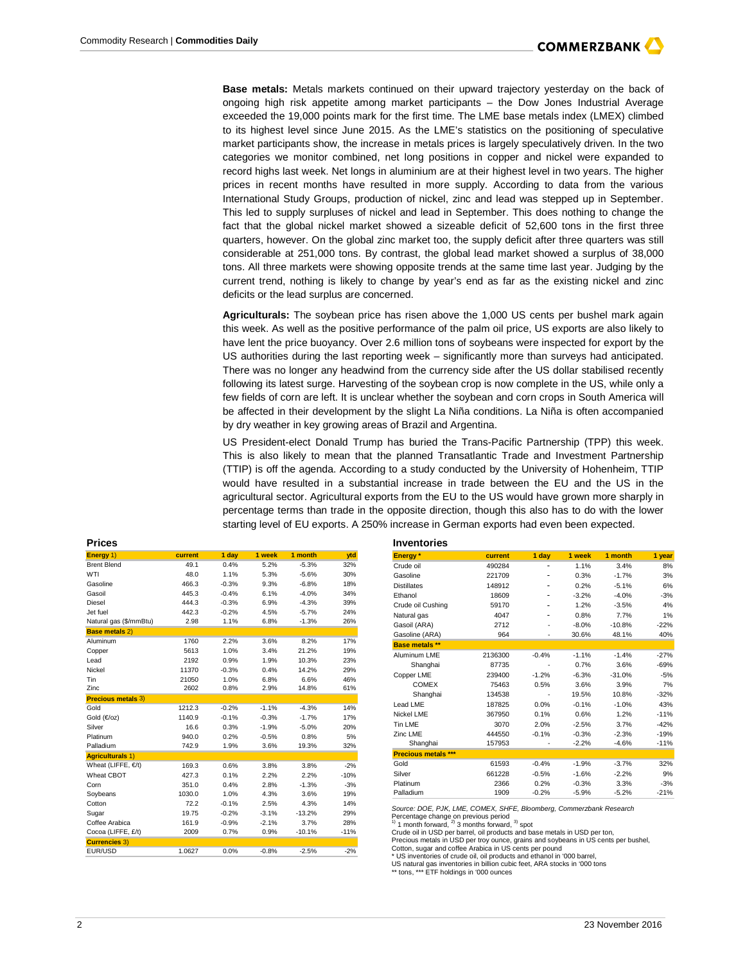

**Base metals:** Metals markets continued on their upward trajectory yesterday on the back of ongoing high risk appetite among market participants – the Dow Jones Industrial Average exceeded the 19,000 points mark for the first time. The LME base metals index (LMEX) climbed to its highest level since June 2015. As the LME's statistics on the positioning of speculative market participants show, the increase in metals prices is largely speculatively driven. In the two categories we monitor combined, net long positions in copper and nickel were expanded to record highs last week. Net longs in aluminium are at their highest level in two years. The higher prices in recent months have resulted in more supply. According to data from the various International Study Groups, production of nickel, zinc and lead was stepped up in September. This led to supply surpluses of nickel and lead in September. This does nothing to change the fact that the global nickel market showed a sizeable deficit of 52,600 tons in the first three quarters, however. On the global zinc market too, the supply deficit after three quarters was still considerable at 251,000 tons. By contrast, the global lead market showed a surplus of 38,000 tons. All three markets were showing opposite trends at the same time last year. Judging by the current trend, nothing is likely to change by year's end as far as the existing nickel and zinc deficits or the lead surplus are concerned.

**Agriculturals:** The soybean price has risen above the 1,000 US cents per bushel mark again this week. As well as the positive performance of the palm oil price, US exports are also likely to have lent the price buoyancy. Over 2.6 million tons of soybeans were inspected for export by the US authorities during the last reporting week – significantly more than surveys had anticipated. There was no longer any headwind from the currency side after the US dollar stabilised recently following its latest surge. Harvesting of the soybean crop is now complete in the US, while only a few fields of corn are left. It is unclear whether the soybean and corn crops in South America will be affected in their development by the slight La Niña conditions. La Niña is often accompanied by dry weather in key growing areas of Brazil and Argentina.

US President-elect Donald Trump has buried the Trans-Pacific Partnership (TPP) this week. This is also likely to mean that the planned Transatlantic Trade and Investment Partnership (TTIP) is off the agenda. According to a study conducted by the University of Hohenheim, TTIP would have resulted in a substantial increase in trade between the EU and the US in the agricultural sector. Agricultural exports from the EU to the US would have grown more sharply in percentage terms than trade in the opposite direction, though this also has to do with the lower starting level of EU exports. A 250% increase in German exports had even been expected.

| <b>Prices</b>             |         |         |         |          |        | <b>Inventories</b>       |
|---------------------------|---------|---------|---------|----------|--------|--------------------------|
| Energy 1)                 | current | 1 day   | 1 week  | 1 month  | ytd    | Energy*                  |
| <b>Brent Blend</b>        | 49.1    | 0.4%    | 5.2%    | $-5.3%$  | 32%    | Crude oil                |
| WTI                       | 48.0    | 1.1%    | 5.3%    | $-5.6%$  | 30%    | Gasoline                 |
| Gasoline                  | 466.3   | $-0.3%$ | 9.3%    | $-6.8%$  | 18%    | <b>Distillates</b>       |
| Gasoil                    | 445.3   | $-0.4%$ | 6.1%    | $-4.0%$  | 34%    | Ethanol                  |
| Diesel                    | 444.3   | $-0.3%$ | 6.9%    | $-4.3%$  | 39%    | Crude oil Cushing        |
| Jet fuel                  | 442.3   | $-0.2%$ | 4.5%    | $-5.7%$  | 24%    | Natural gas              |
| Natural gas (\$/mmBtu)    | 2.98    | 1.1%    | 6.8%    | $-1.3%$  | 26%    | Gasoil (ARA)             |
| <b>Base metals 2)</b>     |         |         |         |          |        | Gasoline (ARA)           |
| Aluminum                  | 1760    | 2.2%    | 3.6%    | 8.2%     | 17%    | <b>Base metals</b> **    |
| Copper                    | 5613    | 1.0%    | 3.4%    | 21.2%    | 19%    | Aluminum LME             |
| Lead                      | 2192    | 0.9%    | 1.9%    | 10.3%    | 23%    | Shanghai                 |
| Nickel                    | 11370   | $-0.3%$ | 0.4%    | 14.2%    | 29%    | Copper LME               |
| Tin                       | 21050   | 1.0%    | 6.8%    | 6.6%     | 46%    | <b>COMEX</b>             |
| Zinc                      | 2602    | 0.8%    | 2.9%    | 14.8%    | 61%    |                          |
| <b>Precious metals 3)</b> |         |         |         |          |        | Shanghai<br>Lead LME     |
| Gold                      | 1212.3  | $-0.2%$ | $-1.1%$ | $-4.3%$  | 14%    |                          |
| Gold $(\in /oz)$          | 1140.9  | $-0.1%$ | $-0.3%$ | $-1.7%$  | 17%    | Nickel LME               |
| Silver                    | 16.6    | 0.3%    | $-1.9%$ | $-5.0%$  | 20%    | <b>Tin LME</b>           |
| Platinum                  | 940.0   | 0.2%    | $-0.5%$ | 0.8%     | 5%     | Zinc LME                 |
| Palladium                 | 742.9   | 1.9%    | 3.6%    | 19.3%    | 32%    | Shanghai                 |
| <b>Agriculturals 1)</b>   |         |         |         |          |        | <b>Precious metals *</b> |
| Wheat (LIFFE, $E/t$ )     | 169.3   | 0.6%    | 3.8%    | 3.8%     | $-2%$  | Gold                     |
| Wheat CBOT                | 427.3   | 0.1%    | 2.2%    | 2.2%     | $-10%$ | Silver                   |
| Corn                      | 351.0   | 0.4%    | 2.8%    | $-1.3%$  | $-3%$  | Platinum                 |
| Soybeans                  | 1030.0  | 1.0%    | 4.3%    | 3.6%     | 19%    | Palladium                |
| Cotton                    | 72.2    | $-0.1%$ | 2.5%    | 4.3%     | 14%    | Source: DOE. PJK.        |
| Sugar                     | 19.75   | $-0.2%$ | $-3.1%$ | $-13.2%$ | 29%    | Percentage change        |
| Coffee Arabica            | 161.9   | $-0.9%$ | $-2.1%$ | 3.7%     | 28%    | $1$ 1 month forward,     |
| Cocoa (LIFFE, £/t)        | 2009    | 0.7%    | 0.9%    | $-10.1%$ | $-11%$ | Crude oil in USD pe      |
| <b>Currencies 3)</b>      |         |         |         |          |        | Precious metals in       |
| EUR/USD                   | 1.0627  | 0.0%    | $-0.8%$ | $-2.5%$  | $-2%$  | Cotton, sugar and o      |

| inventories                |         |         |         |          |        |
|----------------------------|---------|---------|---------|----------|--------|
| Energy*                    | current | 1 day   | 1 week  | 1 month  | 1 year |
| Crude oil                  | 490284  |         | 1.1%    | 3.4%     | 8%     |
| Gasoline                   | 221709  |         | 0.3%    | $-1.7%$  | 3%     |
| <b>Distillates</b>         | 148912  |         | 0.2%    | $-5.1%$  | 6%     |
| Ethanol                    | 18609   |         | $-3.2%$ | $-4.0%$  | $-3%$  |
| Crude oil Cushing          | 59170   |         | 1.2%    | $-3.5%$  | 4%     |
| Natural gas                | 4047    |         | 0.8%    | 7.7%     | 1%     |
| Gasoil (ARA)               | 2712    |         | $-8.0%$ | $-10.8%$ | $-22%$ |
| Gasoline (ARA)             | 964     |         | 30.6%   | 48.1%    | 40%    |
| <b>Base metals **</b>      |         |         |         |          |        |
| Aluminum LME               | 2136300 | $-0.4%$ | $-1.1%$ | $-1.4%$  | $-27%$ |
| Shanghai                   | 87735   |         | 0.7%    | 3.6%     | $-69%$ |
| Copper LME                 | 239400  | $-1.2%$ | $-6.3%$ | $-31.0%$ | $-5%$  |
| <b>COMEX</b>               | 75463   | 0.5%    | 3.6%    | 3.9%     | 7%     |
| Shanghai                   | 134538  |         | 19.5%   | 10.8%    | $-32%$ |
| Lead LME                   | 187825  | 0.0%    | $-0.1%$ | $-1.0%$  | 43%    |
| Nickel LME                 | 367950  | 0.1%    | 0.6%    | 1.2%     | $-11%$ |
| <b>Tin LME</b>             | 3070    | 2.0%    | $-2.5%$ | 3.7%     | $-42%$ |
| Zinc LME                   | 444550  | $-0.1%$ | $-0.3%$ | $-2.3%$  | $-19%$ |
| Shanghai                   | 157953  |         | $-2.2%$ | $-4.6%$  | $-11%$ |
| <b>Precious metals ***</b> |         |         |         |          |        |
| Gold                       | 61593   | $-0.4%$ | $-1.9%$ | $-3.7%$  | 32%    |
| Silver                     | 661228  | $-0.5%$ | $-1.6%$ | $-2.2%$  | 9%     |
| Platinum                   | 2366    | 0.2%    | $-0.3%$ | 3.3%     | $-3%$  |
| Palladium                  | 1909    | $-0.2%$ | $-5.9%$ | $-5.2%$  | $-21%$ |
|                            |         |         |         |          |        |

Source: DOE, PJK, LME, COMEX, SHFE, Bloomberg, Commerzbank Research Percentage change on previous period<br><sup>1)</sup> 1 month forward,  $^{2)}$  3 months forward,  $^{3)}$  spot

Crude oil in USD per barrel, oil products and base metals in USD per ton, Precious metals in USD per troy ounce, grains and soybeans in US cents per bushel, Cotton, sugar and coffee Arabica in US cents per pound

\* US inventories of crude oil, oil products and ethanol in '000 barrel,

US natural gas inventories in billion cubic feet, ARA stocks in '000 tons

\*\* tons, \*\*\* ETF holdings in '000 ounces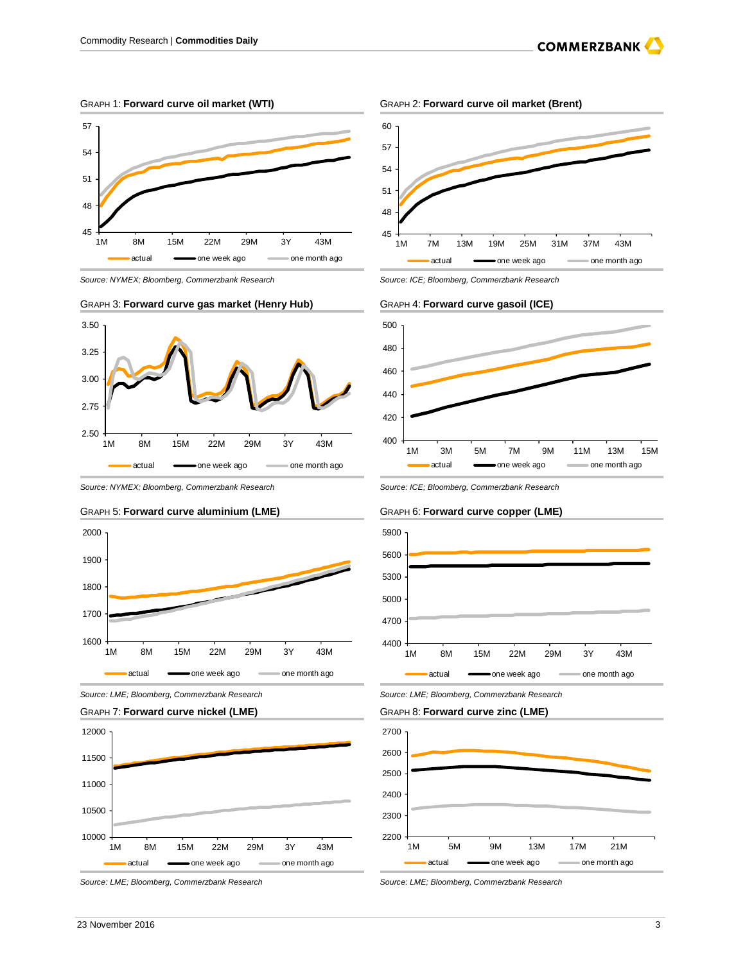GRAPH 1: **Forward curve oil market (WTI)** GRAPH 2: **Forward curve oil market (Brent)**



Source: NYMEX; Bloomberg, Commerzbank Research Source: ICE; Bloomberg, Commerzbank Research

### GRAPH 3: **Forward curve gas market (Henry Hub)** GRAPH 4: **Forward curve gasoil (ICE)**



Source: NYMEX; Bloomberg, Commerzbank Research Source: ICE; Bloomberg, Commerzbank Research













Source: LME; Bloomberg, Commerzbank Research Source: LME; Bloomberg, Commerzbank Research

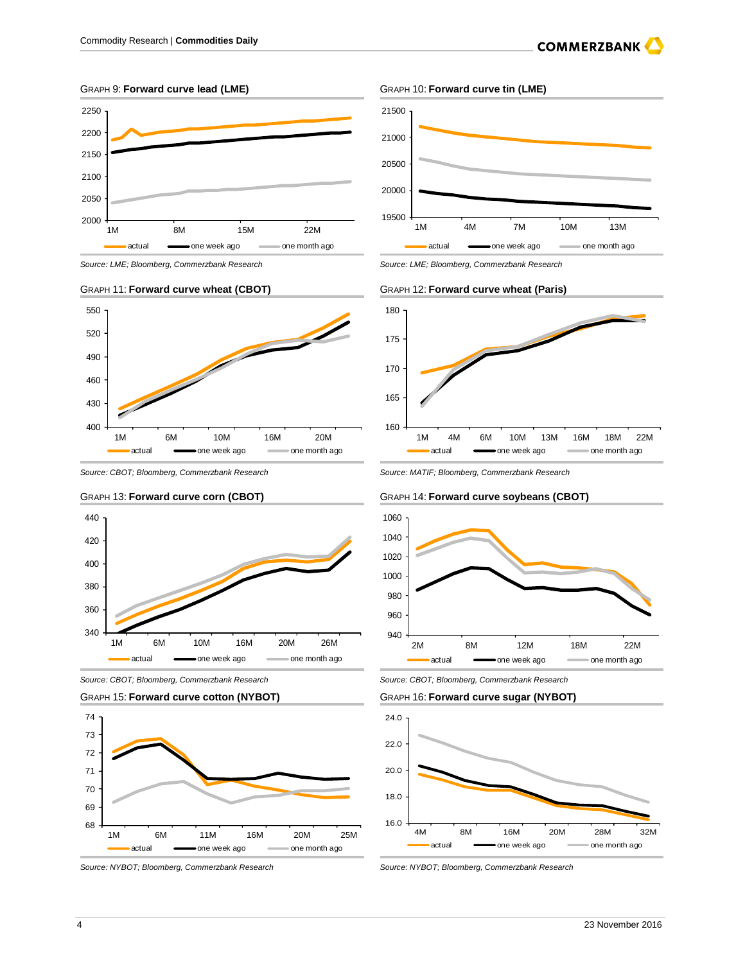





Source: CBOT; Bloomberg, Commerzbank Research Source: MATIF; Bloomberg, Commerzbank Research



Source: CBOT; Bloomberg, Commerzbank Research Source: CBOT; Bloomberg, Commerzbank Research





### GRAPH 9: **Forward curve lead (LME)** GRAPH 10: **Forward curve tin (LME)**



Source: LME; Bloomberg, Commerzbank Research Source: LME; Bloomberg, Commerzbank Research

### GRAPH 11: **Forward curve wheat (CBOT)** GRAPH 12: **Forward curve wheat (Paris)** GRAPH 12: **Forward curve wheat (Paris)**



### GRAPH 13: **Forward curve corn (CBOT)** GRAPH 14: **Forward curve soybeans (CBOT)**





Source: NYBOT; Bloomberg, Commerzbank Research Source: NYBOT; Bloomberg, Commerzbank Research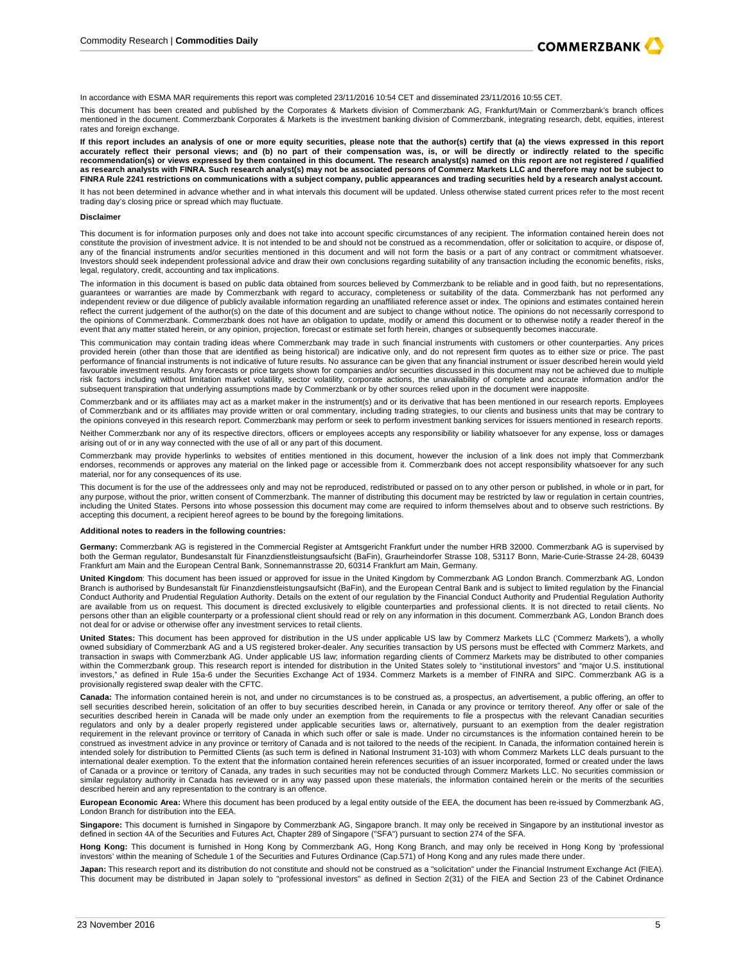

In accordance with ESMA MAR requirements this report was completed 23/11/2016 10:54 CET and disseminated 23/11/2016 10:55 CET.

This document has been created and published by the Corporates & Markets division of Commerzbank AG, Frankfurt/Main or Commerzbank's branch offices mentioned in the document. Commerzbank Corporates & Markets is the investment banking division of Commerzbank, integrating research, debt, equities, interest rates and foreign exchange.

If this report includes an analysis of one or more equity securities, please note that the author(s) certify that (a) the views expressed in this report<br>accurately reflect their personal views; and (b) no part of their com **recommendation(s) or views expressed by them contained in this document. The research analyst(s) named on this report are not registered / qualified as research analysts with FINRA. Such research analyst(s) may not be associated persons of Commerz Markets LLC and therefore may not be subject to FINRA Rule 2241 restrictions on communications with a subject company, public appearances and trading securities held by a research analyst account.**

It has not been determined in advance whether and in what intervals this document will be updated. Unless otherwise stated current prices refer to the most recent trading day's closing price or spread which may fluctuate.

### **Disclaimer**

This document is for information purposes only and does not take into account specific circumstances of any recipient. The information contained herein does not constitute the provision of investment advice. It is not intended to be and should not be construed as a recommendation, offer or solicitation to acquire, or dispose of, any of the financial instruments and/or securities mentioned in this document and will not form the basis or a part of any contract or commitment whatsoever. Investors should seek independent professional advice and draw their own conclusions regarding suitability of any transaction including the economic benefits, risks, legal, regulatory, credit, accounting and tax implications.

The information in this document is based on public data obtained from sources believed by Commerzbank to be reliable and in good faith, but no representations, guarantees or warranties are made by Commerzbank with regard to accuracy, completeness or suitability of the data. Commerzbank has not performed any independent review or due diligence of publicly available information regarding an unaffiliated reference asset or index. The opinions and estimates contained herein reflect the current judgement of the author(s) on the date of this document and are subject to change without notice. The opinions do not necessarily correspond to the opinions of Commerzbank. Commerzbank does not have an obligation to update, modify or amend this document or to otherwise notify a reader thereof in the event that any matter stated herein, or any opinion, projection, forecast or estimate set forth herein, changes or subsequently becomes inaccurate.

This communication may contain trading ideas where Commerzbank may trade in such financial instruments with customers or other counterparties. Any prices provided herein (other than those that are identified as being historical) are indicative only, and do not represent firm quotes as to either size or price. The past performance of financial instruments is not indicative of future results. No assurance can be given that any financial instrument or issuer described herein would yield<br>favourable investment results. Any forecasts or price risk factors including without limitation market volatility, sector volatility, corporate actions, the unavailability of complete and accurate information and/or the subsequent transpiration that underlying assumptions made by Commerzbank or by other sources relied upon in the document were inapposite.

Commerzbank and or its affiliates may act as a market maker in the instrument(s) and or its derivative that has been mentioned in our research reports. Employees of Commerzbank and or its affiliates may provide written or oral commentary, including trading strategies, to our clients and business units that may be contrary to the opinions conveyed in this research report. Commerzbank may perform or seek to perform investment banking services for issuers mentioned in research reports.

Neither Commerzbank nor any of its respective directors, officers or employees accepts any responsibility or liability whatsoever for any expense, loss or damages arising out of or in any way connected with the use of all or any part of this document.

Commerzbank may provide hyperlinks to websites of entities mentioned in this document, however the inclusion of a link does not imply that Commerzbank endorses, recommends or approves any material on the linked page or accessible from it. Commerzbank does not accept responsibility whatsoever for any such material, nor for any consequences of its use.

This document is for the use of the addressees only and may not be reproduced, redistributed or passed on to any other person or published, in whole or in part, for any purpose, without the prior, written consent of Commerzbank. The manner of distributing this document may be restricted by law or regulation in certain countries, including the United States. Persons into whose possession this document may come are required to inform themselves about and to observe such restrictions. By accepting this document, a recipient hereof agrees to be bound by the foregoing limitations.

### **Additional notes to readers in the following countries:**

**Germany:** Commerzbank AG is registered in the Commercial Register at Amtsgericht Frankfurt under the number HRB 32000. Commerzbank AG is supervised by both the German regulator, Bundesanstalt für Finanzdienstleistungsaufsicht (BaFin), Graurheindorfer Strasse 108, 53117 Bonn, Marie-Curie-Strasse 24-28, 60439 Frankfurt am Main and the European Central Bank, Sonnemannstrasse 20, 60314 Frankfurt am Main, Germany.

**United Kingdom**: This document has been issued or approved for issue in the United Kingdom by Commerzbank AG London Branch. Commerzbank AG, London Branch is authorised by Bundesanstalt für Finanzdienstleistungsaufsicht (BaFin), and the European Central Bank and is subject to limited regulation by the Financial Conduct Authority and Prudential Regulation Authority. Details on the extent of our regulation by the Financial Conduct Authority and Prudential Regulation Authority are available from us on request. This document is directed exclusively to eligible counterparties and professional clients. It is not directed to retail clients. No persons other than an eligible counterparty or a professional client should read or rely on any information in this document. Commerzbank AG, London Branch does not deal for or advise or otherwise offer any investment services to retail clients.

**United States:** This document has been approved for distribution in the US under applicable US law by Commerz Markets LLC ('Commerz Markets'), a wholly owned subsidiary of Commerzbank AG and a US registered broker-dealer. Any securities transaction by US persons must be effected with Commerz Markets, and transaction in swaps with Commerzbank AG. Under applicable US law; information regarding clients of Commerz Markets may be distributed to other companies within the Commerzbank group. This research report is intended for distribution in the United States solely to "institutional investors" and "major U.S. institutional<br>investors," as defined in Rule 15a-6 under the Securiti provisionally registered swap dealer with the CFTC.

Canada: The information contained herein is not, and under no circumstances is to be construed as, a prospectus, an advertisement, a public offering, an offer to<br>sell securities described herein, solicitation of an offer t securities described herein in Canada will be made only under an exemption from the requirements to file a prospectus with the relevant Canadian securities regulators and only by a dealer properly registered under applicable securities laws or, alternatively, pursuant to an exemption from the dealer registration requirement in the relevant province or territory of Canada in which such offer or sale is made. Under no circumstances is the information contained herein to be construed as investment advice in any province or territory of Canada and is not tailored to the needs of the recipient. In Canada, the information contained herein is intended solely for distribution to Permitted Clients (as such term is defined in National Instrument 31-103) with whom Commerz Markets LLC deals pursuant to the international dealer exemption. To the extent that the information contained herein references securities of an issuer incorporated, formed or created under the laws of Canada or a province or territory of Canada, any trades in such securities may not be conducted through Commerz Markets LLC. No securities commission or similar regulatory authority in Canada has reviewed or in any way passed upon these materials, the information contained herein or the merits of the securities described herein and any representation to the contrary is an offence.

**European Economic Area:** Where this document has been produced by a legal entity outside of the EEA, the document has been re-issued by Commerzbank AG, London Branch for distribution into the EEA.

**Singapore:** This document is furnished in Singapore by Commerzbank AG, Singapore branch. It may only be received in Singapore by an institutional investor as ed in section 4A of the Securities and Futures Act, Chapter 289 of Singapore ("SFA") pursuant to section 274 of the SFA.

**Hong Kong:** This document is furnished in Hong Kong by Commerzbank AG, Hong Kong Branch, and may only be received in Hong Kong by 'professional investors' within the meaning of Schedule 1 of the Securities and Futures Ordinance (Cap.571) of Hong Kong and any rules made there under.

Japan: This research report and its distribution do not constitute and should not be construed as a "solicitation" under the Financial Instrument Exchange Act (FIEA). This document may be distributed in Japan solely to "professional investors" as defined in Section 2(31) of the FIEA and Section 23 of the Cabinet Ordinance